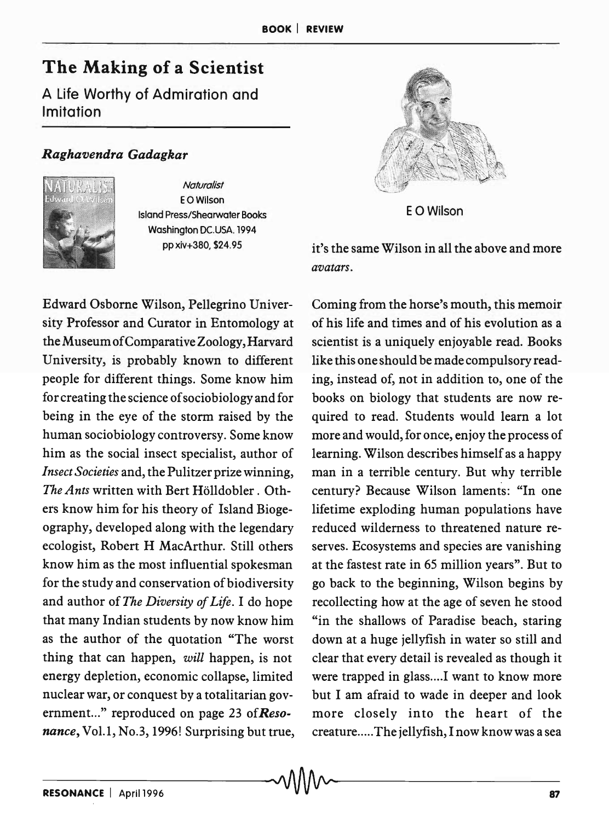## **The Making of a Scientist**

A Life Worthy of Admiration and Imitation

## *Raghavendra Gadagkar*



**Naturalist** EOWilson Island Press/Shearwater Books Washington DC.USA. 1994 ppxiv+380, \$24.95

Edward Osborne Wilson, Pellegrino University Professor and Curator in Entomology at the Museum of Comparative Zoology, Harvard University, is probably known to different people for different things. Some know him for creating the science of sociobiology and for being in the eye of the storm raised by the human sociobiology controversy. Some know him as the social insect specialist, author of *Insect Societies* and, the Pulitzer prize winning, *The Ants* written with Bert Holldobler . Others know him for his theory of Island Biogeography, developed along with the legendary ecologist, Robert H MacArthur. Still others know him as the most influential spokesman for the study and conservation of biodiversity and author of *The Diversity of Life.* I do hope that many Indian students by now know him as the author of the quotation "The worst thing that can happen, *will* happen, is not energy depletion, economic collapse, limited nuclear war, or conquest by a totalitarian government..." reproduced on page 23 *ofResonance,* Vol. 1, No.3, 1996! Surprising but true,



EOWilson

it's the same Wilson in all the above and more *avatars.* 

Coming from the horse's mouth, this memoir of his life and times and of his evolution as a scientist is a uniquely enjoyable read. Books like this one should be made compulsory reading, instead of, not in addition to, one of the books on biology that students are now required to read. Students would learn a lot more and would, for once, enjoy the process of learning. Wilson describes himself as a happy man in a terrible century. But why terrible century? Because Wilson laments: "In one lifetime exploding human populations have reduced wilderness to threatened nature reserves. Ecosystems and species are vanishing at the fastest rate in 65 million years". But to go back to the beginning, Wilson begins by recollecting how at the age of seven he stood "in the shallows of Paradise beach, staring down at a huge jellyfish in water so still and clear that every detail is revealed as though it were trapped in glass....I want to know more but I am afraid to wade in deeper and look more closely into the heart of the creature ..... The jellyfish, I now know was a sea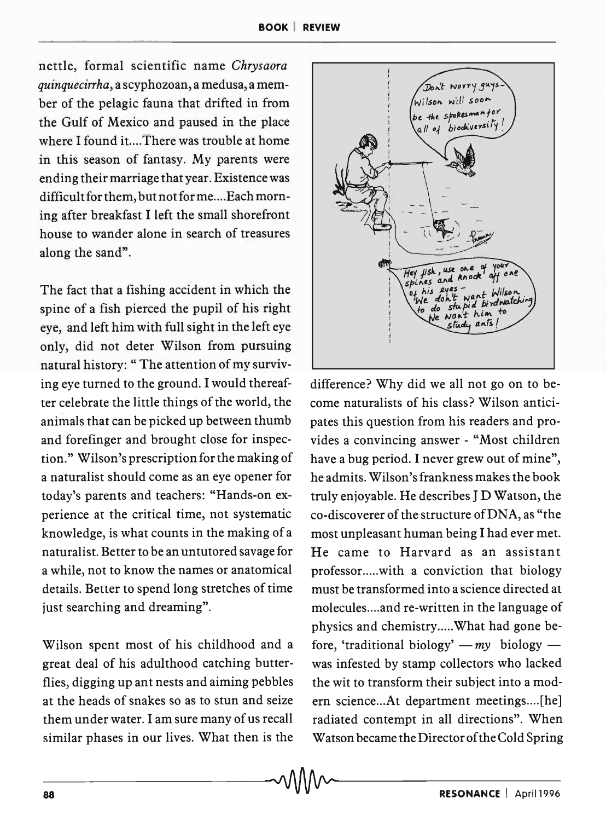nettle, formal scientific name *Chrysaora quinquecirrha,* a scyphozoan, a medusa, a member of the pelagic fauna that drifted in from the Gulf of Mexico and paused in the place where I found it....There was trouble at home in this season of fantasy. My parents were ending their marriage that year. Existence was difficult for them, but not for me.... Each morning after breakfast I left the small shorefront house to wander alone in search of treasures along the sand".

The fact that a fishing accident in which the spine of a fish pierced the pupil of his right eye, and left him with full sight in the left eye only, did not deter Wilson from pursuing natural history: " The attention of my surviving eye turned to the ground. I would thereafter celebrate the little things of the world, the animals that can be picked up between thumb and forefinger and brought close for inspection." Wilson's prescription for the making of a naturalist should come as an eye opener for today's parents and teachers: "Hands-on experience at the critical time, not systematic knowledge, is what counts in the making of a naturalist. Better to be an untutored savage for a while, not to know the names or anatomical details. Better to spend long stretches of time just searching and dreaming".

Wilson spent most of his childhood and a great deal of his adulthood catching butterflies, digging up ant nests and aiming pebbles at the heads of snakes so as to stun and seize them under water. I am sure many of us recall similar phases in our lives. What then is the



difference? Why did we all not go on to become naturalists of his class? Wilson anticipates this question from his readers and provides a convincing answer - "Most children have a bug period. I never grew out of mine", he admits. Wilson's frankness makes the book truly enjoyable. He describes J D Watson, the co-discoverer of the structure of DNA, as "the most unpleasant human being I had ever met. He came to Harvard as an assistant professor. .... with a conviction that biology must be transformed into a science directed at molecules .... and re-written in the language of physics and chemistry ..... What had gone before, 'traditional biology'  $-$ *my* biology  $$ was infested by stamp collectors who lacked the wit to transform their subject into a modern science...At department meetings....[he] radiated contempt in all directions". When Watson became the Director of the Cold Spring